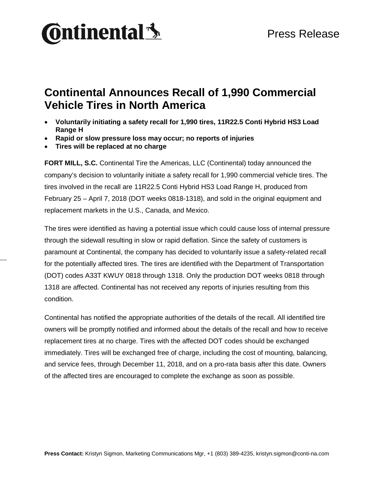## **Ontinental** \$

## **Continental Announces Recall of 1,990 Commercial Vehicle Tires in North America**

- **Voluntarily initiating a safety recall for 1,990 tires, 11R22.5 Conti Hybrid HS3 Load Range H**
- **Rapid or slow pressure loss may occur; no reports of injuries**
- **Tires will be replaced at no charge**

**FORT MILL, S.C.** Continental Tire the Americas, LLC (Continental) today announced the company's decision to voluntarily initiate a safety recall for 1,990 commercial vehicle tires. The tires involved in the recall are 11R22.5 Conti Hybrid HS3 Load Range H, produced from February 25 – April 7, 2018 (DOT weeks 0818-1318), and sold in the original equipment and replacement markets in the U.S., Canada, and Mexico.

The tires were identified as having a potential issue which could cause loss of internal pressure through the sidewall resulting in slow or rapid deflation. Since the safety of customers is paramount at Continental, the company has decided to voluntarily issue a safety-related recall for the potentially affected tires. The tires are identified with the Department of Transportation (DOT) codes A33T KWUY 0818 through 1318. Only the production DOT weeks 0818 through 1318 are affected. Continental has not received any reports of injuries resulting from this condition.

Continental has notified the appropriate authorities of the details of the recall. All identified tire owners will be promptly notified and informed about the details of the recall and how to receive replacement tires at no charge. Tires with the affected DOT codes should be exchanged immediately. Tires will be exchanged free of charge, including the cost of mounting, balancing, and service fees, through December 11, 2018, and on a pro-rata basis after this date. Owners of the affected tires are encouraged to complete the exchange as soon as possible.